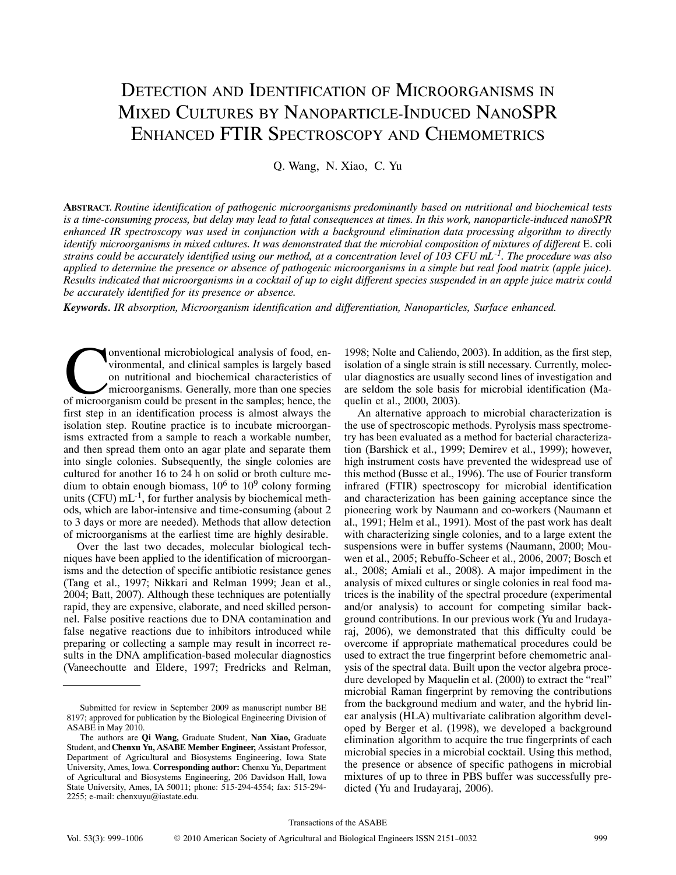# DETECTION AND IDENTIFICATION OF MICROORGANISMS IN MIXED CULTURES BY NANOPARTICLE‐INDUCED NANOSPR ENHANCED FTIR SPECTROSCOPY AND CHEMOMETRICS

Q. Wang, N. Xiao, C. Yu

**ABSTRACT.** *Routine identification of pathogenic microorganisms predominantly based on nutritional and biochemical tests is a time‐consuming process, but delay may lead to fatal consequences at times. In this work, nanoparticle‐induced nanoSPR enhanced IR spectroscopy was used in conjunction with a background elimination data processing algorithm to directly identify microorganisms in mixed cultures. It was demonstrated that the microbial composition of mixtures of different* E. coli *strains could be accurately identified using our method, at a concentration level of 103 CFU mL‐1. The procedure was also applied to determine the presence or absence of pathogenic microorganisms in a simple but real food matrix (apple juice). Results indicated that microorganisms in a cocktail of up to eight different species suspended in an apple juice matrix could be accurately identified for its presence or absence.*

*Keywords. IR absorption, Microorganism identification and differentiation, Nanoparticles, Surface enhanced.*

onventional microbiological analysis of food, en‐ vironmental, and clinical samples is largely based on nutritional and biochemical characteristics of microorganisms. Generally, more than one species onventional microbiological analysis of food, environmental, and clinical samples is largely based on nutritional and biochemical characteristics of microorganisms. Generally, more than one species of microorganism could b first step in an identification process is almost always the isolation step. Routine practice is to incubate microorganisms extracted from a sample to reach a workable number, and then spread them onto an agar plate and separate them into single colonies. Subsequently, the single colonies are cultured for another 16 to 24 h on solid or broth culture medium to obtain enough biomass,  $10^6$  to  $10^9$  colony forming units (CFU)  $mL^{-1}$ , for further analysis by biochemical methods, which are labor‐intensive and time‐consuming (about 2 to 3 days or more are needed). Methods that allow detection of microorganisms at the earliest time are highly desirable.

Over the last two decades, molecular biological techniques have been applied to the identification of microorgan‐ isms and the detection of specific antibiotic resistance genes (Tang et al., 1997; Nikkari and Relman 1999; Jean et al., 2004; Batt, 2007). Although these techniques are potentially rapid, they are expensive, elaborate, and need skilled personnel. False positive reactions due to DNA contamination and false negative reactions due to inhibitors introduced while preparing or collecting a sample may result in incorrect re‐ sults in the DNA amplification-based molecular diagnostics (Vaneechoutte and Eldere, 1997; Fredricks and Relman,

1998; Nolte and Caliendo, 2003). In addition, as the first step, isolation of a single strain is still necessary. Currently, molec‐ ular diagnostics are usually second lines of investigation and are seldom the sole basis for microbial identification (Ma‐ quelin et al., 2000, 2003).

An alternative approach to microbial characterization is the use of spectroscopic methods. Pyrolysis mass spectrome‐ try has been evaluated as a method for bacterial characteriza‐ tion (Barshick et al., 1999; Demirev et al., 1999); however, high instrument costs have prevented the widespread use of this method (Busse et al., 1996). The use of Fourier transform infrared (FTIR) spectroscopy for microbial identification and characterization has been gaining acceptance since the pioneering work by Naumann and co‐workers (Naumann et al., 1991; Helm et al., 1991). Most of the past work has dealt with characterizing single colonies, and to a large extent the suspensions were in buffer systems (Naumann, 2000; Mouwen et al., 2005; Rebuffo‐Scheer et al., 2006, 2007; Bosch et al., 2008; Amiali et al., 2008). A major impediment in the analysis of mixed cultures or single colonies in real food ma‐ trices is the inability of the spectral procedure (experimental and/or analysis) to account for competing similar back‐ ground contributions. In our previous work (Yu and Irudaya‐ raj, 2006), we demonstrated that this difficulty could be overcome if appropriate mathematical procedures could be used to extract the true fingerprint before chemometric analysis of the spectral data. Built upon the vector algebra proce‐ dure developed by Maquelin et al. (2000) to extract the "real" microbial Raman fingerprint by removing the contributions from the background medium and water, and the hybrid lin‐ ear analysis (HLA) multivariate calibration algorithm devel‐ oped by Berger et al. (1998), we developed a background elimination algorithm to acquire the true fingerprints of each microbial species in a microbial cocktail. Using this method, the presence or absence of specific pathogens in microbial mixtures of up to three in PBS buffer was successfully pre‐ dicted (Yu and Irudayaraj, 2006).

Submitted for review in September 2009 as manuscript number BE 8197; approved for publication by the Biological Engineering Division of ASABE in May 2010.

The authors are **Qi Wang,** Graduate Student, **Nan Xiao,** Graduate Student, and **Chenxu Yu, ASABE Member Engineer,** Assistant Professor, Department of Agricultural and Biosystems Engineering, Iowa State University, Ames, Iowa. **Corresponding author:** Chenxu Yu, Department of Agricultural and Biosystems Engineering, 206 Davidson Hall, Iowa State University, Ames, IA 50011; phone: 515‐294‐4554; fax: 515‐294‐ 2255; e-mail: chenxuyu@iastate.edu.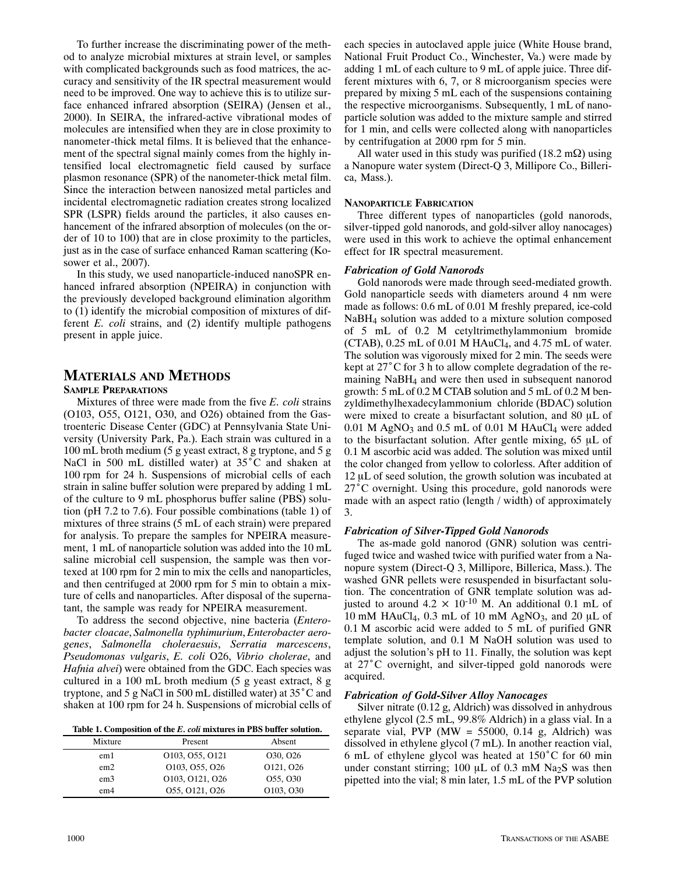To further increase the discriminating power of the meth‐ od to analyze microbial mixtures at strain level, or samples with complicated backgrounds such as food matrices, the accuracy and sensitivity of the IR spectral measurement would need to be improved. One way to achieve this is to utilize sur‐ face enhanced infrared absorption (SEIRA) (Jensen et al., 2000). In SEIRA, the infrared‐active vibrational modes of molecules are intensified when they are in close proximity to nanometer-thick metal films. It is believed that the enhancement of the spectral signal mainly comes from the highly intensified local electromagnetic field caused by surface plasmon resonance (SPR) of the nanometer‐thick metal film. Since the interaction between nanosized metal particles and incidental electromagnetic radiation creates strong localized SPR (LSPR) fields around the particles, it also causes enhancement of the infrared absorption of molecules (on the order of 10 to 100) that are in close proximity to the particles, just as in the case of surface enhanced Raman scattering (Kosower et al., 2007).

In this study, we used nanoparticle‐induced nanoSPR en‐ hanced infrared absorption (NPEIRA) in conjunction with the previously developed background elimination algorithm to (1) identify the microbial composition of mixtures of dif‐ ferent *E. coli* strains, and (2) identify multiple pathogens present in apple juice.

# **MATERIALS AND METHODS**

#### **SAMPLE PREPARATIONS**

Mixtures of three were made from the five *E. coli* strains (O103, O55, O121, O30, and O26) obtained from the Gas‐ troenteric Disease Center (GDC) at Pennsylvania State Uni‐ versity (University Park, Pa.). Each strain was cultured in a 100 mL broth medium (5 g yeast extract, 8 g tryptone, and 5g NaCl in 500 mL distilled water) at 35°C and shaken at 100 rpm for 24 h. Suspensions of microbial cells of each strain in saline buffer solution were prepared by adding 1 mL of the culture to 9 mL phosphorus buffer saline (PBS) solu‐ tion (pH 7.2 to 7.6). Four possible combinations (table 1) of mixtures of three strains (5 mL of each strain) were prepared for analysis. To prepare the samples for NPEIRA measure‐ ment, 1 mL of nanoparticle solution was added into the 10 mL saline microbial cell suspension, the sample was then vortexed at 100 rpm for 2 min to mix the cells and nanoparticles, and then centrifuged at 2000 rpm for 5 min to obtain a mixture of cells and nanoparticles. After disposal of the supernatant, the sample was ready for NPEIRA measurement.

To address the second objective, nine bacteria (*Entero‐ bacter cloacae*, *Salmonella typhimurium*, *Enterobacter aero‐ genes*, *Salmonella choleraesuis*, *Serratia marcescens*, *Pseudomonas vulgaris*, *E. coli* O26, *Vibrio cholerae*, and *Hafnia alvei*) were obtained from the GDC. Each species was cultured in a 100 mL broth medium (5 g yeast extract, 8 g tryptone, and 5 g NaCl in 500 mL distilled water) at 35°C and shaken at 100 rpm for 24 h. Suspensions of microbial cells of

|  | Table 1. Composition of the <i>E. coli</i> mixtures in PBS buffer solution. |
|--|-----------------------------------------------------------------------------|
|  |                                                                             |

| Mixture | Present         | Absent    |
|---------|-----------------|-----------|
| em1     | 0103, 055, 0121 | 030, 026  |
| em2     | 0103, 055, 026  | 0121, 026 |
| em3     | 0103, 0121, 026 | 055, 030  |
| em4     | 055, 0121, 026  | 0103, 030 |

each species in autoclaved apple juice (White House brand, National Fruit Product Co., Winchester, Va.) were made by adding 1 mL of each culture to 9 mL of apple juice. Three dif‐ ferent mixtures with 6, 7, or 8 microorganism species were prepared by mixing 5 mL each of the suspensions containing the respective microorganisms. Subsequently, 1 mL of nanoparticle solution was added to the mixture sample and stirred for 1 min, and cells were collected along with nanoparticles by centrifugation at 2000 rpm for 5 min.

All water used in this study was purified  $(18.2 \text{ m}\Omega)$  using a Nanopure water system (Direct‐Q 3, Millipore Co., Billeri‐ ca, Mass.).

#### **NANOPARTICLE FABRICATION**

Three different types of nanoparticles (gold nanorods, silver-tipped gold nanorods, and gold-silver alloy nanocages) were used in this work to achieve the optimal enhancement effect for IR spectral measurement.

#### *Fabrication of Gold Nanorods*

Gold nanorods were made through seed‐mediated growth. Gold nanoparticle seeds with diameters around 4 nm were made as follows:  $0.6$  mL of  $0.01$  M freshly prepared, ice-cold NaBH4 solution was added to a mixture solution composed of 5 mL of 0.2 M cetyltrimethylammonium bromide (CTAB),  $0.25$  mL of  $0.01$  M HAuCl<sub>4</sub>, and  $4.75$  mL of water. The solution was vigorously mixed for 2 min. The seeds were kept at 27°C for 3 h to allow complete degradation of the re‐ maining NaBH4 and were then used in subsequent nanorod growth: 5 mL of 0.2 M CTAB solution and 5 mL of 0.2 M benzyldimethylhexadecylammonium chloride (BDAC) solution were mixed to create a bisurfactant solution, and  $80 \mu L$  of  $0.01$  M AgNO<sub>3</sub> and  $0.5$  mL of  $0.01$  M HAuCl<sub>4</sub> were added to the bisurfactant solution. After gentle mixing,  $65 \mu L$  of 0.1M ascorbic acid was added. The solution was mixed until the color changed from yellow to colorless. After addition of  $12 \mu L$  of seed solution, the growth solution was incubated at 27°C overnight. Using this procedure, gold nanorods were made with an aspect ratio (length / width) of approximately 3.

#### *Fabrication of Silver‐Tipped Gold Nanorods*

The as-made gold nanorod (GNR) solution was centrifuged twice and washed twice with purified water from a Na‐ nopure system (Direct‐Q 3, Millipore, Billerica, Mass.). The washed GNR pellets were resuspended in bisurfactant solution. The concentration of GNR template solution was ad‐ justed to around  $4.2 \times 10^{-10}$  M. An additional 0.1 mL of 10 mM HAuCl<sub>4</sub>, 0.3 mL of 10 mM AgNO<sub>3</sub>, and 20 µL of 0.1M ascorbic acid were added to 5 mL of purified GNR template solution, and 0.1 M NaOH solution was used to adjust the solution's pH to 11. Finally, the solution was kept at 27°C overnight, and silver‐tipped gold nanorods were acquired.

#### *Fabrication of Gold‐Silver Alloy Nanocages*

Silver nitrate (0.12 g, Aldrich) was dissolved in anhydrous ethylene glycol (2.5 mL, 99.8% Aldrich) in a glass vial. In a separate vial, PVP (MW =  $55000$ , 0.14 g, Aldrich) was dissolved in ethylene glycol (7 mL). In another reaction vial, 6 mL of ethylene glycol was heated at 150°C for 60 min under constant stirring; 100  $\mu$ L of 0.3 mM Na<sub>2</sub>S was then pipetted into the vial; 8 min later, 1.5 mL of the PVP solution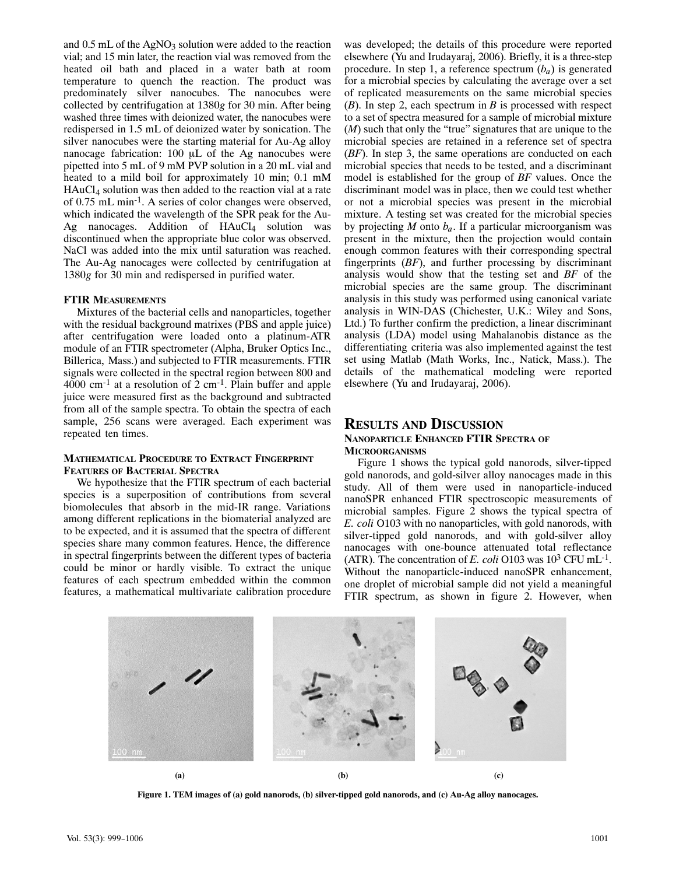and  $0.5$  mL of the AgNO<sub>3</sub> solution were added to the reaction vial; and 15 min later, the reaction vial was removed from the heated oil bath and placed in a water bath at room temperature to quench the reaction. The product was predominately silver nanocubes. The nanocubes were collected by centrifugation at 1380*g* for 30 min. After being washed three times with deionized water, the nanocubes were redispersed in 1.5 mL of deionized water by sonication. The silver nanocubes were the starting material for Au‐Ag alloy nanocage fabrication:  $100 \mu L$  of the Ag nanocubes were pipetted into 5 mL of 9 mM PVP solution in a 20 mL vial and heated to a mild boil for approximately 10 min; 0.1 mM  $HAuCl<sub>4</sub>$  solution was then added to the reaction vial at a rate of 0.75 mL min‐1. A series of color changes were observed, which indicated the wavelength of the SPR peak for the Au-Ag nanocages. Addition of HAuCl<sub>4</sub> solution was discontinued when the appropriate blue color was observed. NaCl was added into the mix until saturation was reached. The Au-Ag nanocages were collected by centrifugation at 1380*g* for 30 min and redispersed in purified water.

#### **FTIR MEASUREMENTS**

Mixtures of the bacterial cells and nanoparticles, together with the residual background matrixes (PBS and apple juice) after centrifugation were loaded onto a platinum‐ATR module of an FTIR spectrometer (Alpha, Bruker Optics Inc., Billerica, Mass.) and subjected to FTIR measurements. FTIR signals were collected in the spectral region between 800 and  $4000 \text{ cm}^{-1}$  at a resolution of 2 cm<sup>-1</sup>. Plain buffer and apple juice were measured first as the background and subtracted from all of the sample spectra. To obtain the spectra of each sample, 256 scans were averaged. Each experiment was repeated ten times.

#### **MATHEMATICAL PROCEDURE TO EXTRACT FINGERPRINT FEATURES OF BACTERIAL SPECTRA**

We hypothesize that the FTIR spectrum of each bacterial species is a superposition of contributions from several biomolecules that absorb in the mid‐IR range. Variations among different replications in the biomaterial analyzed are to be expected, and it is assumed that the spectra of different species share many common features. Hence, the difference in spectral fingerprints between the different types of bacteria could be minor or hardly visible. To extract the unique features of each spectrum embedded within the common features, a mathematical multivariate calibration procedure was developed; the details of this procedure were reported elsewhere (Yu and Irudayaraj, 2006). Briefly, it is a three‐step procedure. In step 1, a reference spectrum  $(b<sub>a</sub>)$  is generated for a microbial species by calculating the average over a set of replicated measurements on the same microbial species (*B*). In step 2, each spectrum in *B* is processed with respect to a set of spectra measured for a sample of microbial mixture (*M*) such that only the "true" signatures that are unique to the microbial species are retained in a reference set of spectra (*BF*). In step 3, the same operations are conducted on each microbial species that needs to be tested, and a discriminant model is established for the group of *BF* values. Once the discriminant model was in place, then we could test whether or not a microbial species was present in the microbial mixture. A testing set was created for the microbial species by projecting  $M$  onto  $b_a$ . If a particular microorganism was present in the mixture, then the projection would contain enough common features with their corresponding spectral fingerprints (*BF*), and further processing by discriminant analysis would show that the testing set and *BF* of the microbial species are the same group. The discriminant analysis in this study was performed using canonical variate analysis in WIN‐DAS (Chichester, U.K.: Wiley and Sons, Ltd.) To further confirm the prediction, a linear discriminant analysis (LDA) model using Mahalanobis distance as the differentiating criteria was also implemented against the test set using Matlab (Math Works, Inc., Natick, Mass.). The details of the mathematical modeling were reported elsewhere (Yu and Irudayaraj, 2006).

## **RESULTS AND DISCUSSION**

## **NANOPARTICLE ENHANCED FTIR SPECTRA OF MICROORGANISMS**

Figure 1 shows the typical gold nanorods, silver-tipped gold nanorods, and gold‐silver alloy nanocages made in this study. All of them were used in nanoparticle‐induced nanoSPR enhanced FTIR spectroscopic measurements of microbial samples. Figure 2 shows the typical spectra of *E.coli* O103 with no nanoparticles, with gold nanorods, with silver-tipped gold nanorods, and with gold-silver alloy nanocages with one‐bounce attenuated total reflectance (ATR). The concentration of *E. coli* O103 was  $10^3$  CFU mL<sup>-1</sup>. Without the nanoparticle‐induced nanoSPR enhancement, one droplet of microbial sample did not yield a meaningful FTIR spectrum, as shown in figure 2. However, when



**Figure 1. TEM images of (a) gold nanorods, (b) silver‐tipped gold nanorods, and (c) Au‐Ag alloy nanocages.**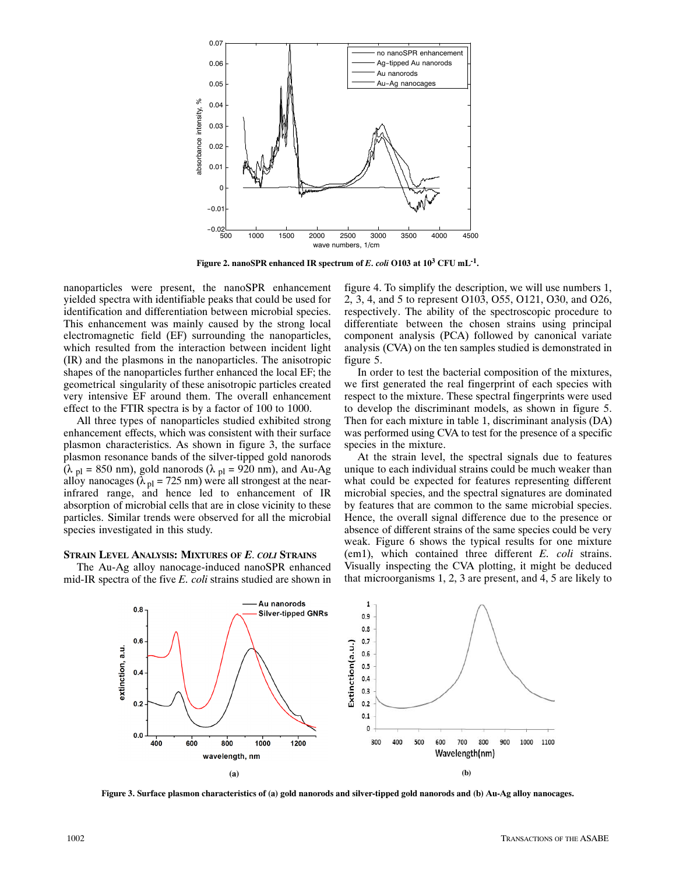

**Figure 2. nanoSPR enhanced IR spectrum of** *E. coli* **O103 at 103 CFU mL‐1.**

nanoparticles were present, the nanoSPR enhancement yielded spectra with identifiable peaks that could be used for identification and differentiation between microbial species. This enhancement was mainly caused by the strong local electromagnetic field (EF) surrounding the nanoparticles, which resulted from the interaction between incident light (IR) and the plasmons in the nanoparticles. The anisotropic shapes of the nanoparticles further enhanced the local EF; the geometrical singularity of these anisotropic particles created very intensive EF around them. The overall enhancement effect to the FTIR spectra is by a factor of 100 to 1000.

All three types of nanoparticles studied exhibited strong enhancement effects, which was consistent with their surface plasmon characteristics. As shown in figure 3, the surface plasmon resonance bands of the silver‐tipped gold nanorods  $(\lambda_{\text{pl}} = 850 \text{ nm})$ , gold nanorods  $(\lambda_{\text{pl}} = 920 \text{ nm})$ , and Au-Ag alloy nanocages ( $\lambda$ <sub>pl</sub> = 725 nm) were all strongest at the nearinfrared range, and hence led to enhancement of IR absorption of microbial cells that are in close vicinity to these particles. Similar trends were observed for all the microbial species investigated in this study.

#### **STRAIN LEVEL ANALYSIS: MIXTURES OF** *E. COLI* **STRAINS**

The Au-Ag alloy nanocage-induced nanoSPR enhanced mid‐IR spectra of the five *E. coli* strains studied are shown in figure 4. To simplify the description, we will use numbers 1, 2, 3, 4, and 5 to represent O103, O55, O121, O30, and O26, respectively. The ability of the spectroscopic procedure to differentiate between the chosen strains using principal component analysis (PCA) followed by canonical variate analysis (CVA) on the ten samples studied is demonstrated in figure 5.

In order to test the bacterial composition of the mixtures, we first generated the real fingerprint of each species with respect to the mixture. These spectral fingerprints were used to develop the discriminant models, as shown in figure 5. Then for each mixture in table 1, discriminant analysis (DA) was performed using CVA to test for the presence of a specific species in the mixture.

At the strain level, the spectral signals due to features unique to each individual strains could be much weaker than what could be expected for features representing different microbial species, and the spectral signatures are dominated by features that are common to the same microbial species. Hence, the overall signal difference due to the presence or absence of different strains of the same species could be very weak. Figure 6 shows the typical results for one mixture (em1), which contained three different *E. coli* strains. Visually inspecting the CVA plotting, it might be deduced that microorganisms 1, 2, 3 are present, and 4, 5 are likely to



**Figure 3. Surface plasmon characteristics of (a) gold nanorods and silver‐tipped gold nanorods and (b) Au‐Ag alloy nanocages.**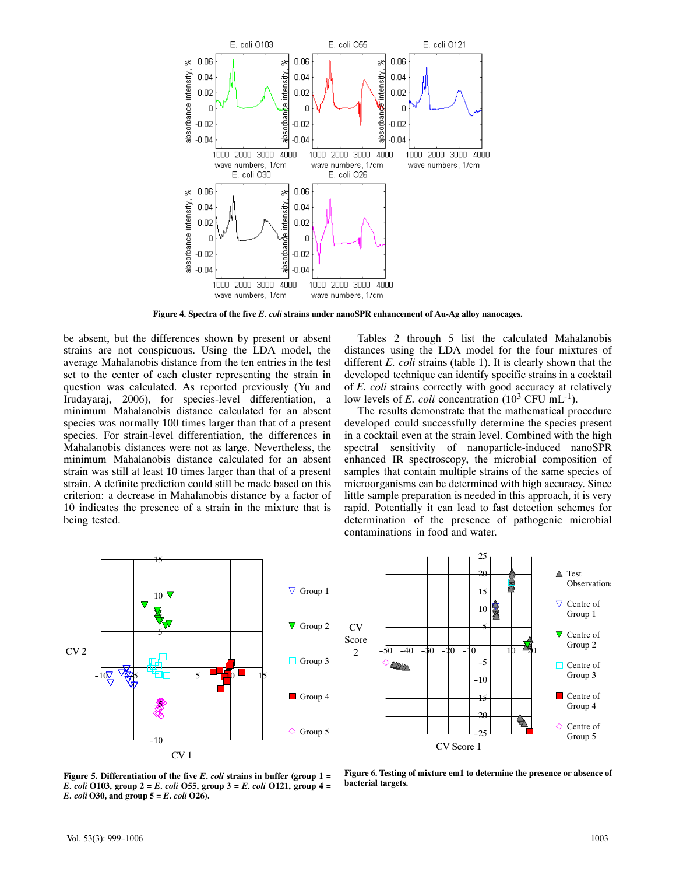

**Figure 4. Spectra of the five** *E. coli* **strains under nanoSPR enhancement of Au‐Ag alloy nanocages.**

be absent, but the differences shown by present or absent strains are not conspicuous. Using the LDA model, the average Mahalanobis distance from the ten entries in the test set to the center of each cluster representing the strain in question was calculated. As reported previously (Yu and Irudayaraj, 2006), for species‐level differentiation, a minimum Mahalanobis distance calculated for an absent species was normally 100 times larger than that of a present species. For strain‐level differentiation, the differences in Mahalanobis distances were not as large. Nevertheless, the minimum Mahalanobis distance calculated for an absent strain was still at least 10 times larger than that of a present strain. A definite prediction could still be made based on this criterion: a decrease in Mahalanobis distance by a factor of 10 indicates the presence of a strain in the mixture that is being tested.

Tables 2 through 5 list the calculated Mahalanobis distances using the LDA model for the four mixtures of different *E. coli* strains (table 1). It is clearly shown that the developed technique can identify specific strains in a cocktail of *E. coli* strains correctly with good accuracy at relatively low levels of *E. coli* concentration  $(10^3 \text{ CFU } \text{mL}^{-1})$ .

The results demonstrate that the mathematical procedure developed could successfully determine the species present in a cocktail even at the strain level. Combined with the high spectral sensitivity of nanoparticle-induced nanoSPR enhanced IR spectroscopy, the microbial composition of samples that contain multiple strains of the same species of microorganisms can be determined with high accuracy. Since little sample preparation is needed in this approach, it is very rapid. Potentially it can lead to fast detection schemes for determination of the presence of pathogenic microbial contaminations in food and water.





**Figure 5. Differentiation of the five** *E. coli* **strains in buffer (group 1 =** *E.coli* **O103, group 2 =** *E. coli* **O55, group 3 =** *E. coli* **O121, group 4 =** *E.coli* **O30, and group 5 =** *E. coli* **O26).**

**Figure 6. Testing of mixture em1 to determine the presence or absence of bacterial targets.**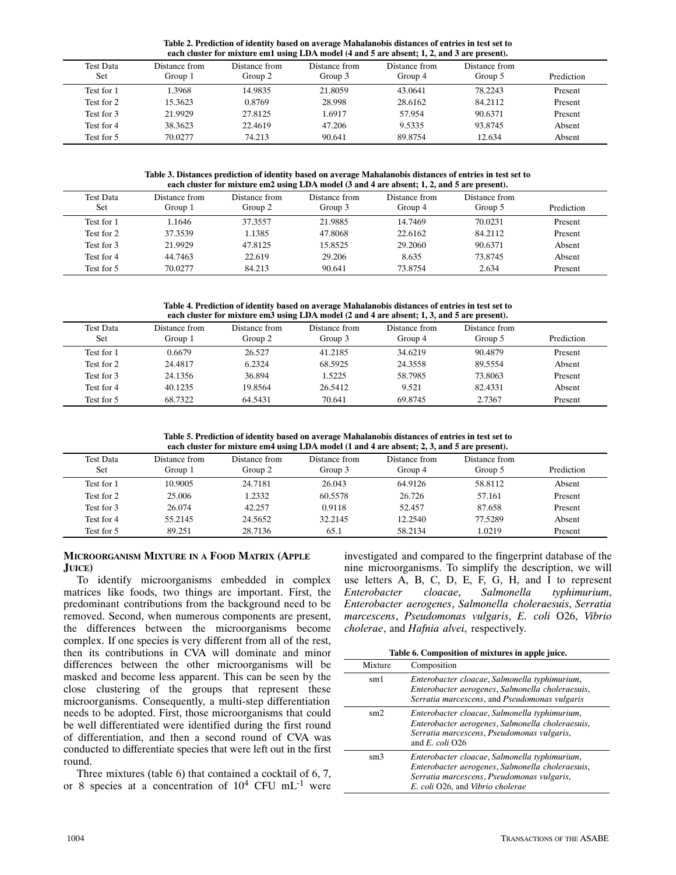| Table 2. Prediction of identity based on average Mahalanobis distances of entries in test set to |
|--------------------------------------------------------------------------------------------------|
| each cluster for mixture em1 using LDA model (4 and 5 are absent; 1, 2, and 3 are present).      |

|                                | each cluster for imaging each using EDA model (4 and 3 are absent, 1, 2, and 3 are present). |                          |                          |                          |                          |            |  |  |  |  |  |
|--------------------------------|----------------------------------------------------------------------------------------------|--------------------------|--------------------------|--------------------------|--------------------------|------------|--|--|--|--|--|
| <b>Test Data</b><br><b>Set</b> | Distance from<br>Group 1                                                                     | Distance from<br>Group 2 | Distance from<br>Group 3 | Distance from<br>Group 4 | Distance from<br>Group 5 | Prediction |  |  |  |  |  |
| Test for 1                     | 1.3968                                                                                       | 14.9835                  | 21.8059                  | 43.0641                  | 78.2243                  | Present    |  |  |  |  |  |
| Test for 2                     | 15.3623                                                                                      | 0.8769                   | 28.998                   | 28.6162                  | 84.2112                  | Present    |  |  |  |  |  |
| Test for 3                     | 21.9929                                                                                      | 27.8125                  | 1.6917                   | 57.954                   | 90.6371                  | Present    |  |  |  |  |  |
| Test for 4                     | 38.3623                                                                                      | 22.4619                  | 47.206                   | 9.5335                   | 93.8745                  | Absent     |  |  |  |  |  |
| Test for 5                     | 70.0277                                                                                      | 74.213                   | 90.641                   | 89.8754                  | 12.634                   | Absent     |  |  |  |  |  |

**Table 3. Distances prediction of identity based on average Mahalanobis distances of entries in test set to each cluster for mixture em2 using LDA model (3 and 4 are absent; 1, 2, and 5 are present).**

| <b>Test Data</b> | Distance from | Distance from | Distance from | Distance from | Distance from |            |
|------------------|---------------|---------------|---------------|---------------|---------------|------------|
| Set              | Group 1       | Group 2       | Group 3       | Group 4       | Group 5       | Prediction |
| Test for 1       | 1.1646        | 37.3557       | 21.9885       | 14.7469       | 70.0231       | Present    |
| Test for 2       | 37.3539       | 1.1385        | 47.8068       | 22.6162       | 84.2112       | Present    |
| Test for 3       | 21.9929       | 47.8125       | 15.8525       | 29,2060       | 90.6371       | Absent     |
| Test for 4       | 44.7463       | 22.619        | 29.206        | 8.635         | 73.8745       | Absent     |
| Test for 5       | 70.0277       | 84.213        | 90.641        | 73.8754       | 2.634         | Present    |

**Table 4. Prediction of identity based on average Mahalanobis distances of entries in test set to**  $\epsilon$  using LDA model (2 and 4 are absent; 1, 3, and 5 are present).

|                                | each cluster for mixture emp using LDA model (2 and 4 are absent; 1, 5, and 5 are present). |                          |                          |                          |                          |            |  |  |  |  |  |  |
|--------------------------------|---------------------------------------------------------------------------------------------|--------------------------|--------------------------|--------------------------|--------------------------|------------|--|--|--|--|--|--|
| <b>Test Data</b><br><b>Set</b> | Distance from<br>Group 1                                                                    | Distance from<br>Group 2 | Distance from<br>Group 3 | Distance from<br>Group 4 | Distance from<br>Group 5 | Prediction |  |  |  |  |  |  |
| Test for 1                     | 0.6679                                                                                      | 26.527                   | 41.2185                  | 34.6219                  | 90.4879                  | Present    |  |  |  |  |  |  |
| Test for 2                     | 24.4817                                                                                     | 6.2324                   | 68.5925                  | 24.3558                  | 89.5554                  | Absent     |  |  |  |  |  |  |
| Test for 3                     | 24.1356                                                                                     | 36.894                   | 1.5225                   | 58.7985                  | 73.8063                  | Present    |  |  |  |  |  |  |
| Test for 4                     | 40.1235                                                                                     | 19.8564                  | 26.5412                  | 9.521                    | 82.4331                  | Absent     |  |  |  |  |  |  |
| Test for 5                     | 68.7322                                                                                     | 64.5431                  | 70.641                   | 69.8745                  | 2.7367                   | Present    |  |  |  |  |  |  |

**Table 5. Prediction of identity based on average Mahalanobis distances of entries in test set to each cluster for mixture em4 using LDA model (1 and 4 are absent; 2, 3, and 5 are present).**

|                         | cach choice for mixture cars using EDA model (1 and 5 are absent, 2, 9, and 9 are present). |                          |                          |                          |                          |            |  |  |  |  |  |
|-------------------------|---------------------------------------------------------------------------------------------|--------------------------|--------------------------|--------------------------|--------------------------|------------|--|--|--|--|--|
| <b>Test Data</b><br>Set | Distance from<br>Group 1                                                                    | Distance from<br>Group 2 | Distance from<br>Group 3 | Distance from<br>Group 4 | Distance from<br>Group 5 | Prediction |  |  |  |  |  |
| Test for 1              | 10.9005                                                                                     | 24.7181                  | 26.043                   | 64.9126                  | 58.8112                  | Absent     |  |  |  |  |  |
| Test for 2              | 25.006                                                                                      | 1.2332                   | 60.5578                  | 26.726                   | 57.161                   | Present    |  |  |  |  |  |
| Test for 3              | 26.074                                                                                      | 42.257                   | 0.9118                   | 52.457                   | 87.658                   | Present    |  |  |  |  |  |
| Test for 4              | 55.2145                                                                                     | 24.5652                  | 32.2145                  | 12.2540                  | 77.5289                  | Absent     |  |  |  |  |  |
| Test for 5              | 89.251                                                                                      | 28.7136                  | 65.1                     | 58.2134                  | 1.0219                   | Present    |  |  |  |  |  |

## **MICROORGANISM MIXTURE IN A FOOD MATRIX (APPLE JUICE)**

To identify microorganisms embedded in complex matrices like foods, two things are important. First, the predominant contributions from the background need to be removed. Second, when numerous components are present, the differences between the microorganisms become complex. If one species is very different from all of the rest, then its contributions in CVA will dominate and minor differences between the other microorganisms will be masked and become less apparent. This can be seen by the close clustering of the groups that represent these microorganisms. Consequently, a multi‐step differentiation needs to be adopted. First, those microorganisms that could be well differentiated were identified during the first round of differentiation, and then a second round of CVA was conducted to differentiate species that were left out in the first round.

Three mixtures (table 6) that contained a cocktail of 6, 7, or 8 species at a concentration of  $10^4$  CFU mL<sup>-1</sup> were

investigated and compared to the fingerprint database of the nine microorganisms. To simplify the description, we will use letters A, B, C, D, E, F, G, H, and I to represent *Enterobacter cloacae*, *Salmonella typhimurium*, *Enterobacter aerogenes*, *Salmonella choleraesuis*, *Serratia marcescens*, *Pseudomonas vulgaris*, *E. coli* O26, *Vibrio cholerae*, and *Hafnia alvei*, respectively.

| Table 6. Composition of mixtures in apple juice. |  |  |  |
|--------------------------------------------------|--|--|--|
|--------------------------------------------------|--|--|--|

| Mixture        | Composition                                                                                                                                                                         |
|----------------|-------------------------------------------------------------------------------------------------------------------------------------------------------------------------------------|
| $\mathrm{cm}1$ | Enterobacter cloacae, Salmonella typhimurium,<br>Enterobacter aerogenes, Salmonella choleraesuis,<br>Serratia marcescens, and Pseudomonas vulgaris                                  |
| $\text{sm2}$   | Enterobacter cloacae, Salmonella typhimurium,<br>Enterobacter aerogenes, Salmonella choleraesuis,<br>Serratia marcescens, Pseudomonas vulgaris,<br>and $E$ , coli $O26$             |
| $\text{sm}3$   | Enterobacter cloacae, Salmonella typhimurium,<br>Enterobacter aerogenes, Salmonella choleraesuis,<br>Serratia marcescens, Pseudomonas vulgaris,<br>E. coli O26, and Vibrio cholerae |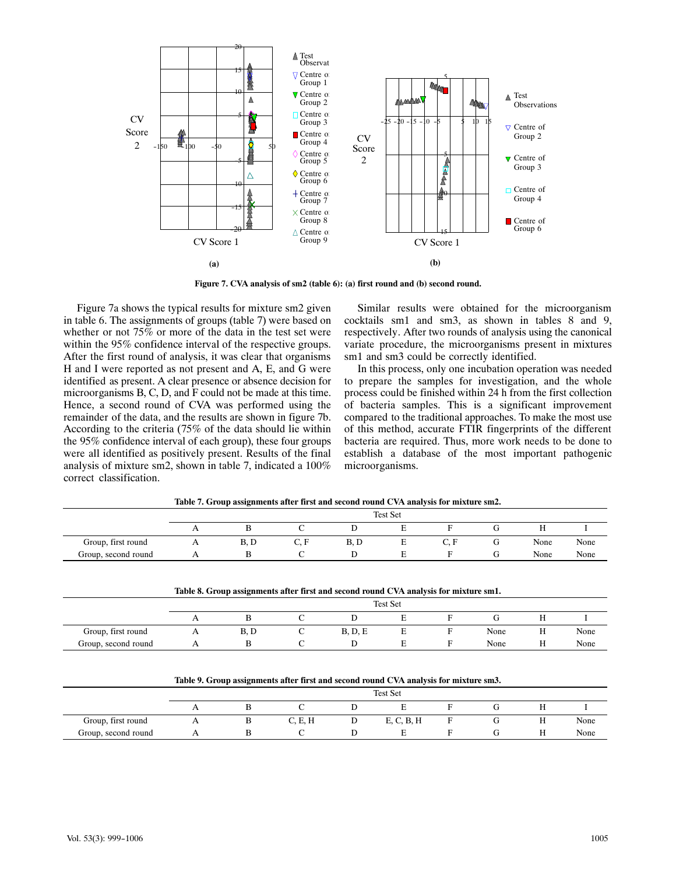

**Figure 7. CVA analysis of sm2 (table 6): (a) first round and (b) second round.**

Figure 7a shows the typical results for mixture sm2 given in table 6. The assignments of groups (table 7) were based on whether or not 75% or more of the data in the test set were within the 95% confidence interval of the respective groups. After the first round of analysis, it was clear that organisms H and I were reported as not present and A, E, and G were identified as present. A clear presence or absence decision for microorganisms B, C, D, and F could not be made at this time. Hence, a second round of CVA was performed using the remainder of the data, and the results are shown in figure 7b. According to the criteria (75% of the data should lie within the 95% confidence interval of each group), these four groups were all identified as positively present. Results of the final analysis of mixture sm2, shown in table 7, indicated a 100% correct classification.

Similar results were obtained for the microorganism cocktails sm1 and sm3, as shown in tables 8 and 9, respectively. After two rounds of analysis using the canonical variate procedure, the microorganisms present in mixtures sm1 and sm3 could be correctly identified.

In this process, only one incubation operation was needed to prepare the samples for investigation, and the whole process could be finished within 24 h from the first collection of bacteria samples. This is a significant improvement compared to the traditional approaches. To make the most use of this method, accurate FTIR fingerprints of the different bacteria are required. Thus, more work needs to be done to establish a database of the most important pathogenic microorganisms.

|                     | <b>Test Set</b> |      |   |      |          |     |   |      |      |
|---------------------|-----------------|------|---|------|----------|-----|---|------|------|
|                     | . .             |      |   |      |          |     |   |      |      |
| Group, first round  | 1 L             | B, D | ີ | B, D | <u>.</u> | U.I | U | None | None |
| Group, second round |                 |      |   |      |          |     |   | None | None |

**Table 7. Group assignments after first and second round CVA analysis for mixture sm2.**

| Table 8. Group assignments after first and second round CVA analysis for mixture sm1. |  |                 |  |                                |  |  |      |  |      |  |
|---------------------------------------------------------------------------------------|--|-----------------|--|--------------------------------|--|--|------|--|------|--|
|                                                                                       |  | <b>Test Set</b> |  |                                |  |  |      |  |      |  |
|                                                                                       |  |                 |  |                                |  |  |      |  |      |  |
| Group, first round                                                                    |  | B.D             |  | <b>B</b> , <b>D</b> , <b>E</b> |  |  | None |  | None |  |
| Group, second round                                                                   |  |                 |  |                                |  |  | None |  | None |  |

**Table 9. Group assignments after first and second round CVA analysis for mixture sm3.**

|                     | <b>Test Set</b>          |  |         |   |            |  |  |   |      |  |  |
|---------------------|--------------------------|--|---------|---|------------|--|--|---|------|--|--|
|                     | . .                      |  |         |   |            |  |  | п |      |  |  |
| Group, first round  | $\overline{\phantom{a}}$ |  | C, E, H | ◡ | E, C, B, H |  |  | п | None |  |  |
| Group, second round |                          |  |         |   |            |  |  | п | None |  |  |